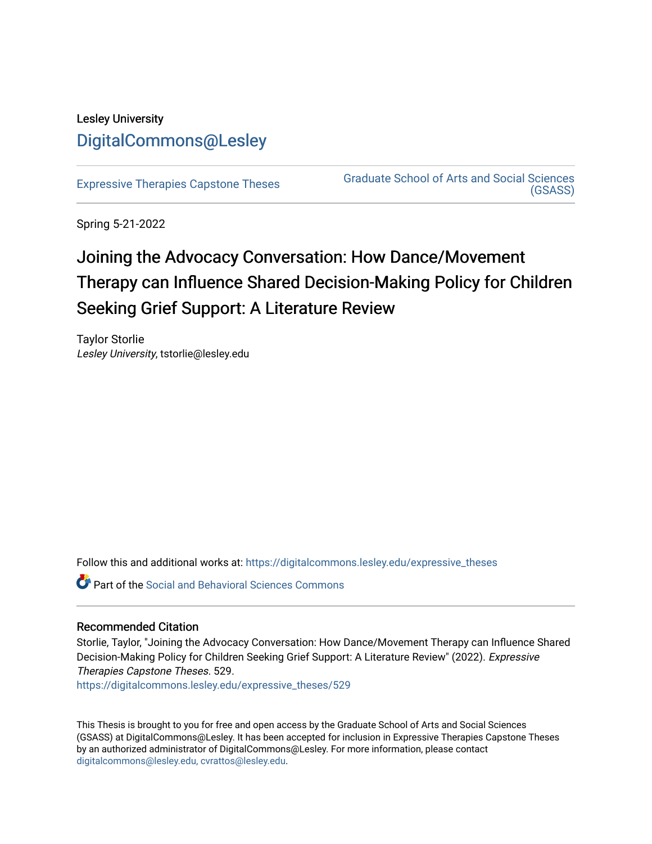# Lesley University [DigitalCommons@Lesley](https://digitalcommons.lesley.edu/)

[Expressive Therapies Capstone Theses](https://digitalcommons.lesley.edu/expressive_theses) Graduate School of Arts and Social Sciences [\(GSASS\)](https://digitalcommons.lesley.edu/gsass) 

Spring 5-21-2022

# Joining the Advocacy Conversation: How Dance/Movement Therapy can Influence Shared Decision-Making Policy for Children Seeking Grief Support: A Literature Review

Taylor Storlie Lesley University, tstorlie@lesley.edu

Follow this and additional works at: [https://digitalcommons.lesley.edu/expressive\\_theses](https://digitalcommons.lesley.edu/expressive_theses?utm_source=digitalcommons.lesley.edu%2Fexpressive_theses%2F529&utm_medium=PDF&utm_campaign=PDFCoverPages)

**C** Part of the Social and Behavioral Sciences Commons

# Recommended Citation

Storlie, Taylor, "Joining the Advocacy Conversation: How Dance/Movement Therapy can Influence Shared Decision-Making Policy for Children Seeking Grief Support: A Literature Review" (2022). Expressive Therapies Capstone Theses. 529.

[https://digitalcommons.lesley.edu/expressive\\_theses/529](https://digitalcommons.lesley.edu/expressive_theses/529?utm_source=digitalcommons.lesley.edu%2Fexpressive_theses%2F529&utm_medium=PDF&utm_campaign=PDFCoverPages)

This Thesis is brought to you for free and open access by the Graduate School of Arts and Social Sciences (GSASS) at DigitalCommons@Lesley. It has been accepted for inclusion in Expressive Therapies Capstone Theses by an authorized administrator of DigitalCommons@Lesley. For more information, please contact [digitalcommons@lesley.edu, cvrattos@lesley.edu](mailto:digitalcommons@lesley.edu,%20cvrattos@lesley.edu).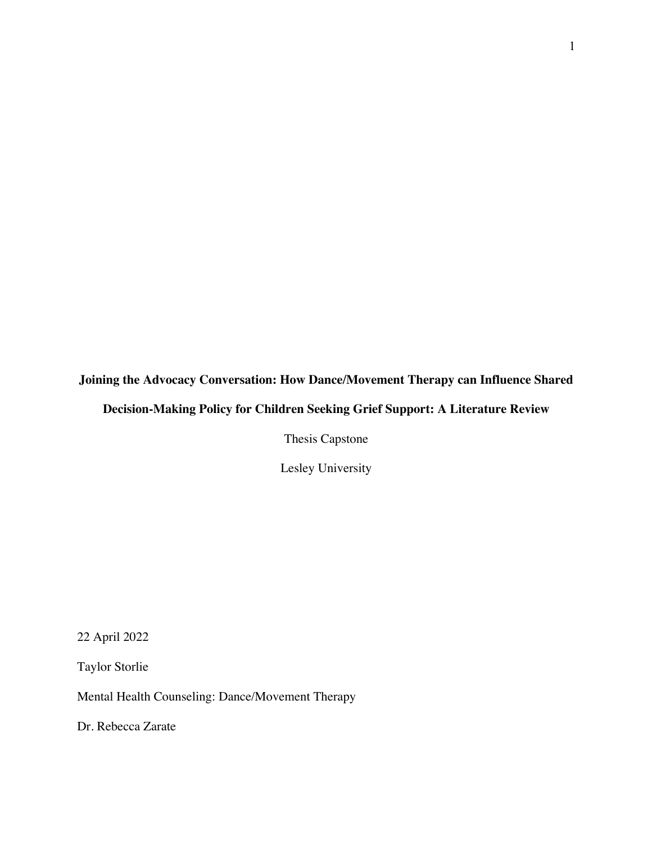# **Joining the Advocacy Conversation: How Dance/Movement Therapy can Influence Shared Decision-Making Policy for Children Seeking Grief Support: A Literature Review**

Thesis Capstone

Lesley University

22 April 2022

Taylor Storlie

Mental Health Counseling: Dance/Movement Therapy

Dr. Rebecca Zarate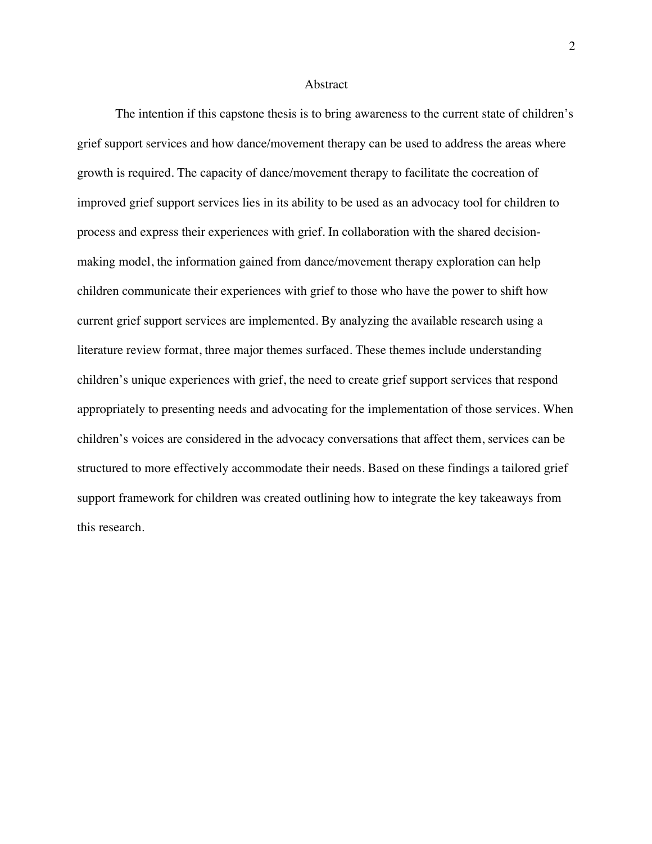#### Abstract

The intention if this capstone thesis is to bring awareness to the current state of children's grief support services and how dance/movement therapy can be used to address the areas where growth is required. The capacity of dance/movement therapy to facilitate the cocreation of improved grief support services lies in its ability to be used as an advocacy tool for children to process and express their experiences with grief. In collaboration with the shared decisionmaking model, the information gained from dance/movement therapy exploration can help children communicate their experiences with grief to those who have the power to shift how current grief support services are implemented. By analyzing the available research using a literature review format, three major themes surfaced. These themes include understanding children's unique experiences with grief, the need to create grief support services that respond appropriately to presenting needs and advocating for the implementation of those services. When children's voices are considered in the advocacy conversations that affect them, services can be structured to more effectively accommodate their needs. Based on these findings a tailored grief support framework for children was created outlining how to integrate the key takeaways from this research.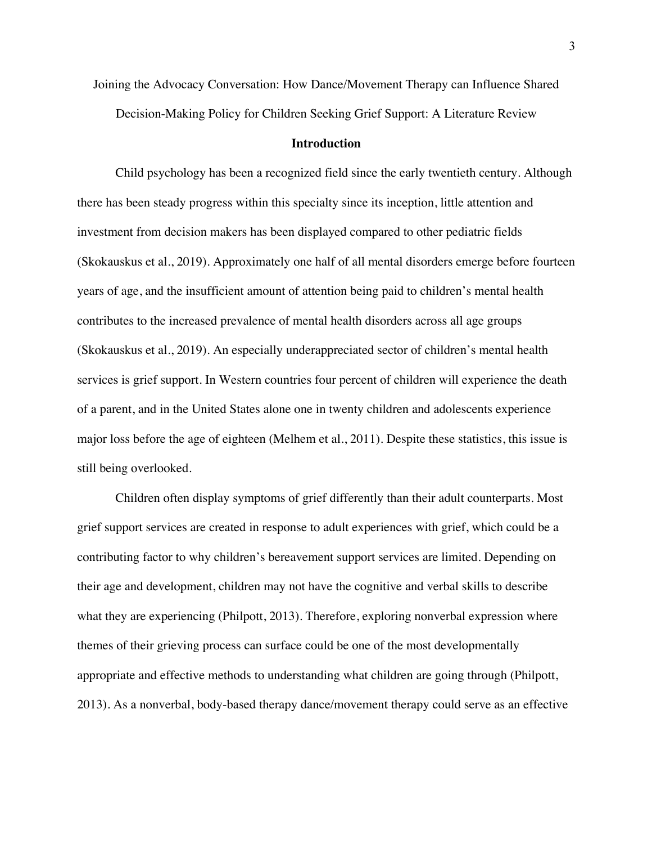Joining the Advocacy Conversation: How Dance/Movement Therapy can Influence Shared Decision-Making Policy for Children Seeking Grief Support: A Literature Review

#### **Introduction**

Child psychology has been a recognized field since the early twentieth century. Although there has been steady progress within this specialty since its inception, little attention and investment from decision makers has been displayed compared to other pediatric fields (Skokauskus et al., 2019). Approximately one half of all mental disorders emerge before fourteen years of age, and the insufficient amount of attention being paid to children's mental health contributes to the increased prevalence of mental health disorders across all age groups (Skokauskus et al., 2019). An especially underappreciated sector of children's mental health services is grief support. In Western countries four percent of children will experience the death of a parent, and in the United States alone one in twenty children and adolescents experience major loss before the age of eighteen (Melhem et al., 2011). Despite these statistics, this issue is still being overlooked.

Children often display symptoms of grief differently than their adult counterparts. Most grief support services are created in response to adult experiences with grief, which could be a contributing factor to why children's bereavement support services are limited. Depending on their age and development, children may not have the cognitive and verbal skills to describe what they are experiencing (Philpott, 2013). Therefore, exploring nonverbal expression where themes of their grieving process can surface could be one of the most developmentally appropriate and effective methods to understanding what children are going through (Philpott, 2013). As a nonverbal, body-based therapy dance/movement therapy could serve as an effective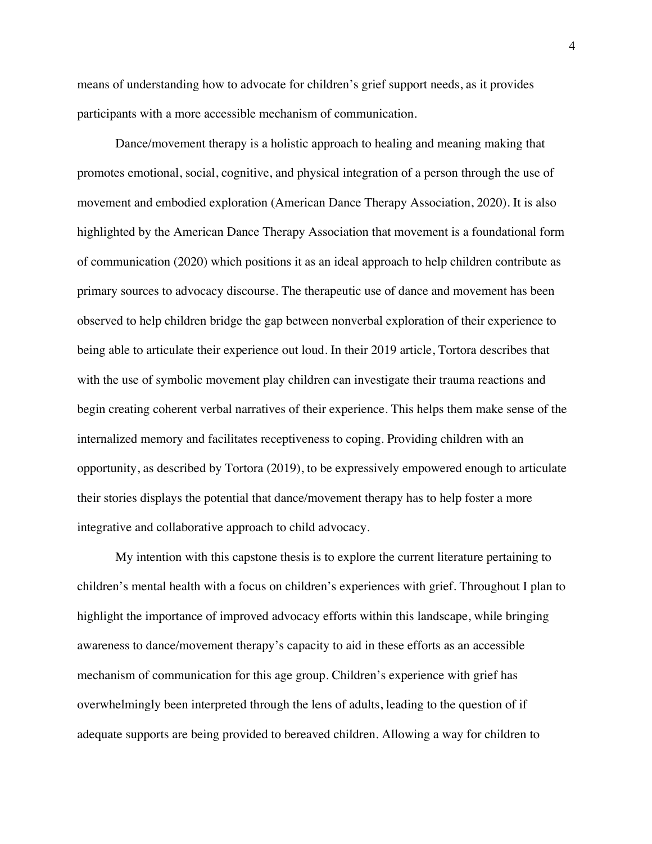means of understanding how to advocate for children's grief support needs, as it provides participants with a more accessible mechanism of communication.

Dance/movement therapy is a holistic approach to healing and meaning making that promotes emotional, social, cognitive, and physical integration of a person through the use of movement and embodied exploration (American Dance Therapy Association, 2020). It is also highlighted by the American Dance Therapy Association that movement is a foundational form of communication (2020) which positions it as an ideal approach to help children contribute as primary sources to advocacy discourse. The therapeutic use of dance and movement has been observed to help children bridge the gap between nonverbal exploration of their experience to being able to articulate their experience out loud. In their 2019 article, Tortora describes that with the use of symbolic movement play children can investigate their trauma reactions and begin creating coherent verbal narratives of their experience. This helps them make sense of the internalized memory and facilitates receptiveness to coping. Providing children with an opportunity, as described by Tortora (2019), to be expressively empowered enough to articulate their stories displays the potential that dance/movement therapy has to help foster a more integrative and collaborative approach to child advocacy.

My intention with this capstone thesis is to explore the current literature pertaining to children's mental health with a focus on children's experiences with grief. Throughout I plan to highlight the importance of improved advocacy efforts within this landscape, while bringing awareness to dance/movement therapy's capacity to aid in these efforts as an accessible mechanism of communication for this age group. Children's experience with grief has overwhelmingly been interpreted through the lens of adults, leading to the question of if adequate supports are being provided to bereaved children. Allowing a way for children to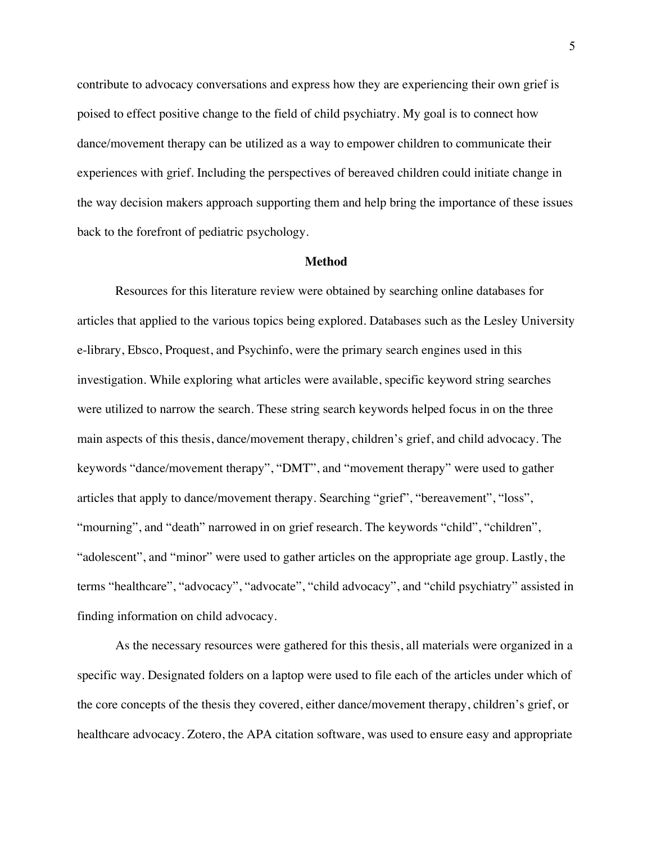contribute to advocacy conversations and express how they are experiencing their own grief is poised to effect positive change to the field of child psychiatry. My goal is to connect how dance/movement therapy can be utilized as a way to empower children to communicate their experiences with grief. Including the perspectives of bereaved children could initiate change in the way decision makers approach supporting them and help bring the importance of these issues back to the forefront of pediatric psychology.

#### **Method**

Resources for this literature review were obtained by searching online databases for articles that applied to the various topics being explored. Databases such as the Lesley University e-library, Ebsco, Proquest, and Psychinfo, were the primary search engines used in this investigation. While exploring what articles were available, specific keyword string searches were utilized to narrow the search. These string search keywords helped focus in on the three main aspects of this thesis, dance/movement therapy, children's grief, and child advocacy. The keywords "dance/movement therapy", "DMT", and "movement therapy" were used to gather articles that apply to dance/movement therapy. Searching "grief", "bereavement", "loss", "mourning", and "death" narrowed in on grief research. The keywords "child", "children", "adolescent", and "minor" were used to gather articles on the appropriate age group. Lastly, the terms "healthcare", "advocacy", "advocate", "child advocacy", and "child psychiatry" assisted in finding information on child advocacy.

As the necessary resources were gathered for this thesis, all materials were organized in a specific way. Designated folders on a laptop were used to file each of the articles under which of the core concepts of the thesis they covered, either dance/movement therapy, children's grief, or healthcare advocacy. Zotero, the APA citation software, was used to ensure easy and appropriate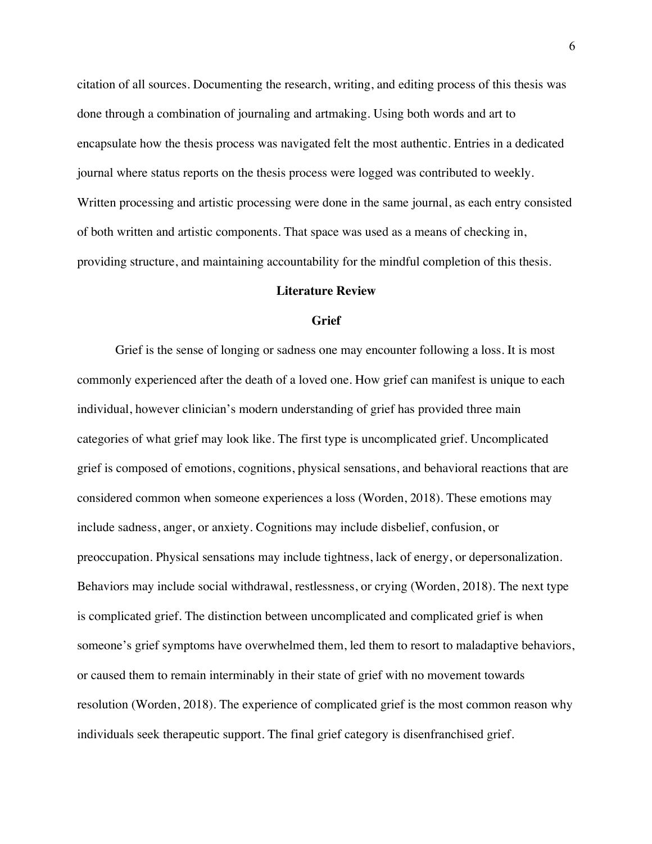citation of all sources. Documenting the research, writing, and editing process of this thesis was done through a combination of journaling and artmaking. Using both words and art to encapsulate how the thesis process was navigated felt the most authentic. Entries in a dedicated journal where status reports on the thesis process were logged was contributed to weekly. Written processing and artistic processing were done in the same journal, as each entry consisted of both written and artistic components. That space was used as a means of checking in, providing structure, and maintaining accountability for the mindful completion of this thesis.

#### **Literature Review**

#### **Grief**

Grief is the sense of longing or sadness one may encounter following a loss. It is most commonly experienced after the death of a loved one. How grief can manifest is unique to each individual, however clinician's modern understanding of grief has provided three main categories of what grief may look like. The first type is uncomplicated grief. Uncomplicated grief is composed of emotions, cognitions, physical sensations, and behavioral reactions that are considered common when someone experiences a loss (Worden, 2018). These emotions may include sadness, anger, or anxiety. Cognitions may include disbelief, confusion, or preoccupation. Physical sensations may include tightness, lack of energy, or depersonalization. Behaviors may include social withdrawal, restlessness, or crying (Worden, 2018). The next type is complicated grief. The distinction between uncomplicated and complicated grief is when someone's grief symptoms have overwhelmed them, led them to resort to maladaptive behaviors, or caused them to remain interminably in their state of grief with no movement towards resolution (Worden, 2018). The experience of complicated grief is the most common reason why individuals seek therapeutic support. The final grief category is disenfranchised grief.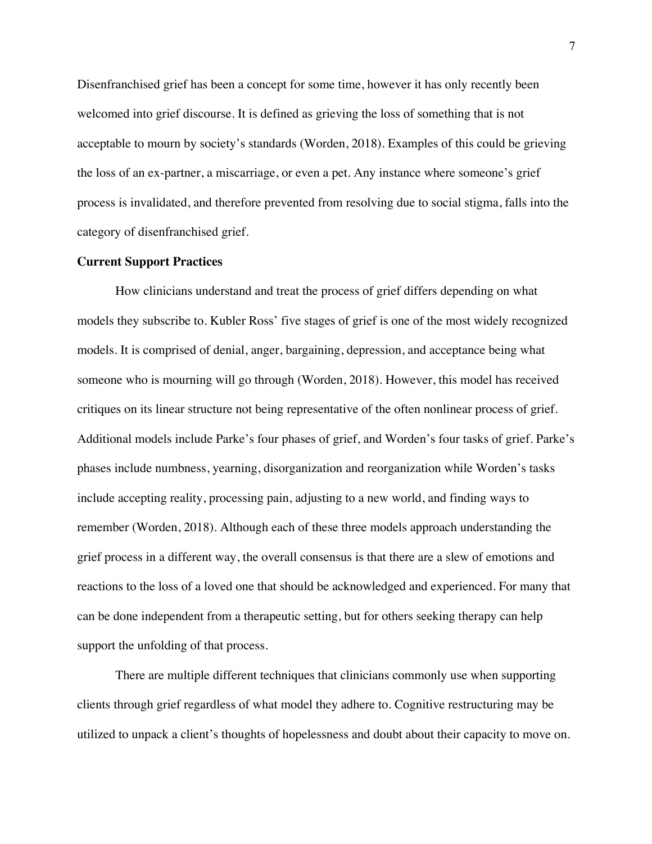Disenfranchised grief has been a concept for some time, however it has only recently been welcomed into grief discourse. It is defined as grieving the loss of something that is not acceptable to mourn by society's standards (Worden, 2018). Examples of this could be grieving the loss of an ex-partner, a miscarriage, or even a pet. Any instance where someone's grief process is invalidated, and therefore prevented from resolving due to social stigma, falls into the category of disenfranchised grief.

#### **Current Support Practices**

How clinicians understand and treat the process of grief differs depending on what models they subscribe to. Kubler Ross' five stages of grief is one of the most widely recognized models. It is comprised of denial, anger, bargaining, depression, and acceptance being what someone who is mourning will go through (Worden, 2018). However, this model has received critiques on its linear structure not being representative of the often nonlinear process of grief. Additional models include Parke's four phases of grief, and Worden's four tasks of grief. Parke's phases include numbness, yearning, disorganization and reorganization while Worden's tasks include accepting reality, processing pain, adjusting to a new world, and finding ways to remember (Worden, 2018). Although each of these three models approach understanding the grief process in a different way, the overall consensus is that there are a slew of emotions and reactions to the loss of a loved one that should be acknowledged and experienced. For many that can be done independent from a therapeutic setting, but for others seeking therapy can help support the unfolding of that process.

There are multiple different techniques that clinicians commonly use when supporting clients through grief regardless of what model they adhere to. Cognitive restructuring may be utilized to unpack a client's thoughts of hopelessness and doubt about their capacity to move on.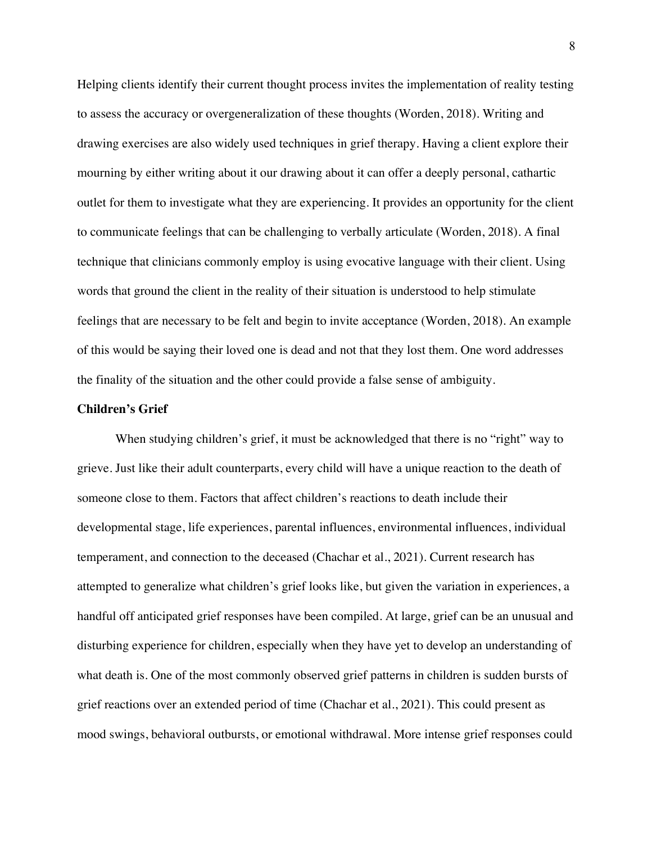Helping clients identify their current thought process invites the implementation of reality testing to assess the accuracy or overgeneralization of these thoughts (Worden, 2018). Writing and drawing exercises are also widely used techniques in grief therapy. Having a client explore their mourning by either writing about it our drawing about it can offer a deeply personal, cathartic outlet for them to investigate what they are experiencing. It provides an opportunity for the client to communicate feelings that can be challenging to verbally articulate (Worden, 2018). A final technique that clinicians commonly employ is using evocative language with their client. Using words that ground the client in the reality of their situation is understood to help stimulate feelings that are necessary to be felt and begin to invite acceptance (Worden, 2018). An example of this would be saying their loved one is dead and not that they lost them. One word addresses the finality of the situation and the other could provide a false sense of ambiguity.

## **Children's Grief**

When studying children's grief, it must be acknowledged that there is no "right" way to grieve. Just like their adult counterparts, every child will have a unique reaction to the death of someone close to them. Factors that affect children's reactions to death include their developmental stage, life experiences, parental influences, environmental influences, individual temperament, and connection to the deceased (Chachar et al., 2021). Current research has attempted to generalize what children's grief looks like, but given the variation in experiences, a handful off anticipated grief responses have been compiled. At large, grief can be an unusual and disturbing experience for children, especially when they have yet to develop an understanding of what death is. One of the most commonly observed grief patterns in children is sudden bursts of grief reactions over an extended period of time (Chachar et al., 2021). This could present as mood swings, behavioral outbursts, or emotional withdrawal. More intense grief responses could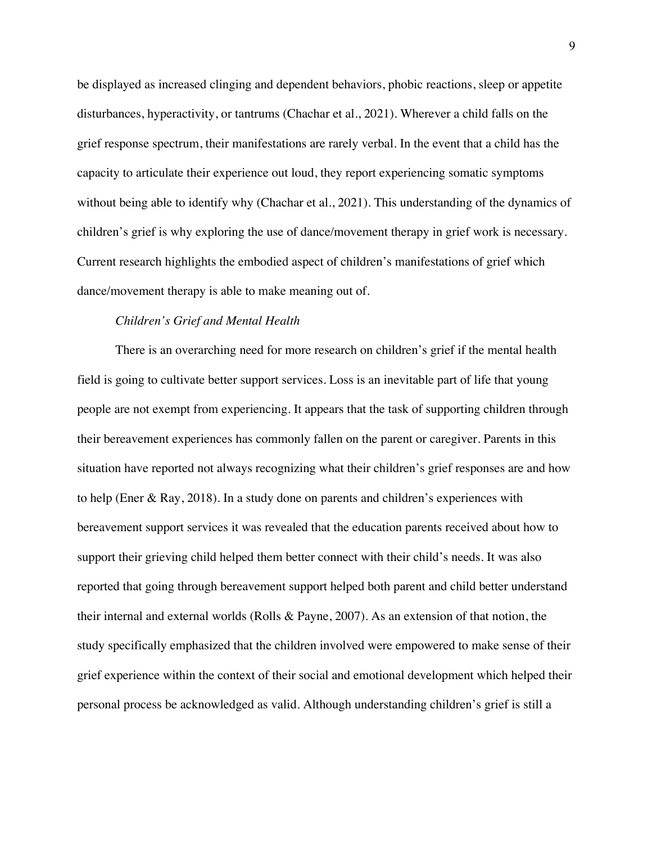be displayed as increased clinging and dependent behaviors, phobic reactions, sleep or appetite disturbances, hyperactivity, or tantrums (Chachar et al., 2021). Wherever a child falls on the grief response spectrum, their manifestations are rarely verbal. In the event that a child has the capacity to articulate their experience out loud, they report experiencing somatic symptoms without being able to identify why (Chachar et al., 2021). This understanding of the dynamics of children's grief is why exploring the use of dance/movement therapy in grief work is necessary. Current research highlights the embodied aspect of children's manifestations of grief which dance/movement therapy is able to make meaning out of.

# *Children's Grief and Mental Health*

There is an overarching need for more research on children's grief if the mental health field is going to cultivate better support services. Loss is an inevitable part of life that young people are not exempt from experiencing. It appears that the task of supporting children through their bereavement experiences has commonly fallen on the parent or caregiver. Parents in this situation have reported not always recognizing what their children's grief responses are and how to help (Ener & Ray, 2018). In a study done on parents and children's experiences with bereavement support services it was revealed that the education parents received about how to support their grieving child helped them better connect with their child's needs. It was also reported that going through bereavement support helped both parent and child better understand their internal and external worlds (Rolls & Payne, 2007). As an extension of that notion, the study specifically emphasized that the children involved were empowered to make sense of their grief experience within the context of their social and emotional development which helped their personal process be acknowledged as valid. Although understanding children's grief is still a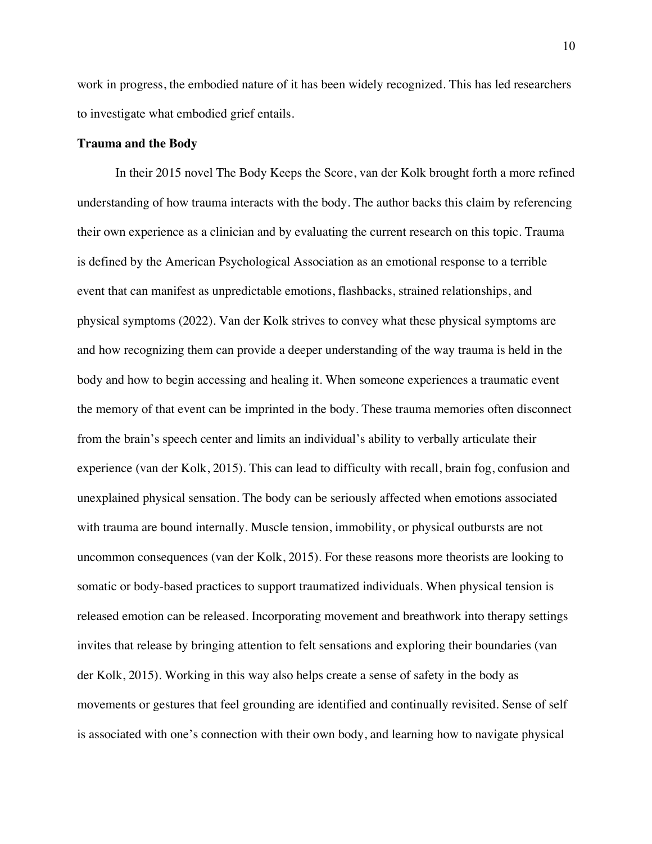work in progress, the embodied nature of it has been widely recognized. This has led researchers to investigate what embodied grief entails.

#### **Trauma and the Body**

In their 2015 novel The Body Keeps the Score, van der Kolk brought forth a more refined understanding of how trauma interacts with the body. The author backs this claim by referencing their own experience as a clinician and by evaluating the current research on this topic. Trauma is defined by the American Psychological Association as an emotional response to a terrible event that can manifest as unpredictable emotions, flashbacks, strained relationships, and physical symptoms (2022). Van der Kolk strives to convey what these physical symptoms are and how recognizing them can provide a deeper understanding of the way trauma is held in the body and how to begin accessing and healing it. When someone experiences a traumatic event the memory of that event can be imprinted in the body. These trauma memories often disconnect from the brain's speech center and limits an individual's ability to verbally articulate their experience (van der Kolk, 2015). This can lead to difficulty with recall, brain fog, confusion and unexplained physical sensation. The body can be seriously affected when emotions associated with trauma are bound internally. Muscle tension, immobility, or physical outbursts are not uncommon consequences (van der Kolk, 2015). For these reasons more theorists are looking to somatic or body-based practices to support traumatized individuals. When physical tension is released emotion can be released. Incorporating movement and breathwork into therapy settings invites that release by bringing attention to felt sensations and exploring their boundaries (van der Kolk, 2015). Working in this way also helps create a sense of safety in the body as movements or gestures that feel grounding are identified and continually revisited. Sense of self is associated with one's connection with their own body, and learning how to navigate physical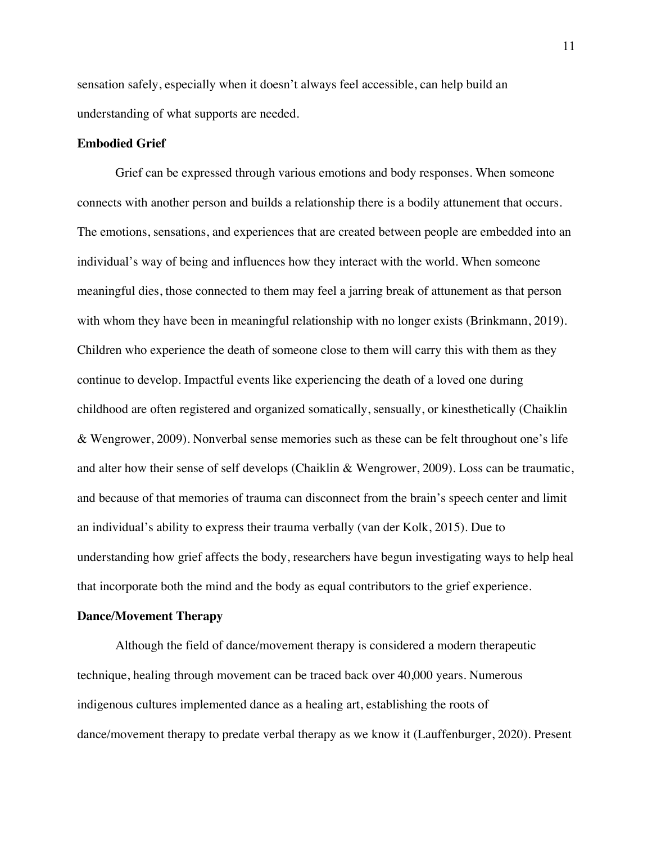sensation safely, especially when it doesn't always feel accessible, can help build an understanding of what supports are needed.

# **Embodied Grief**

Grief can be expressed through various emotions and body responses. When someone connects with another person and builds a relationship there is a bodily attunement that occurs. The emotions, sensations, and experiences that are created between people are embedded into an individual's way of being and influences how they interact with the world. When someone meaningful dies, those connected to them may feel a jarring break of attunement as that person with whom they have been in meaningful relationship with no longer exists (Brinkmann, 2019). Children who experience the death of someone close to them will carry this with them as they continue to develop. Impactful events like experiencing the death of a loved one during childhood are often registered and organized somatically, sensually, or kinesthetically (Chaiklin & Wengrower, 2009). Nonverbal sense memories such as these can be felt throughout one's life and alter how their sense of self develops (Chaiklin & Wengrower, 2009). Loss can be traumatic, and because of that memories of trauma can disconnect from the brain's speech center and limit an individual's ability to express their trauma verbally (van der Kolk, 2015). Due to understanding how grief affects the body, researchers have begun investigating ways to help heal that incorporate both the mind and the body as equal contributors to the grief experience.

# **Dance/Movement Therapy**

Although the field of dance/movement therapy is considered a modern therapeutic technique, healing through movement can be traced back over 40,000 years. Numerous indigenous cultures implemented dance as a healing art, establishing the roots of dance/movement therapy to predate verbal therapy as we know it (Lauffenburger, 2020). Present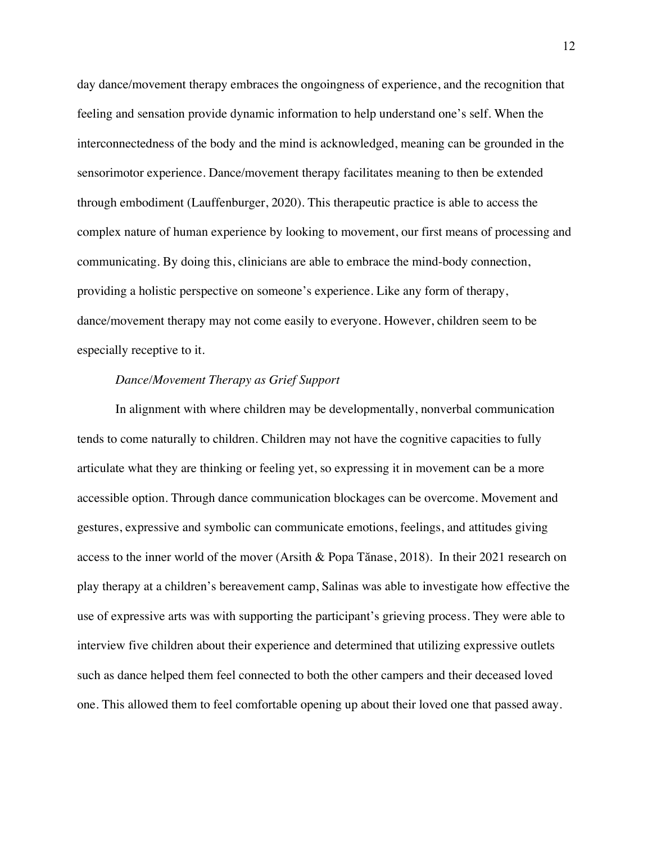day dance/movement therapy embraces the ongoingness of experience, and the recognition that feeling and sensation provide dynamic information to help understand one's self. When the interconnectedness of the body and the mind is acknowledged, meaning can be grounded in the sensorimotor experience. Dance/movement therapy facilitates meaning to then be extended through embodiment (Lauffenburger, 2020). This therapeutic practice is able to access the complex nature of human experience by looking to movement, our first means of processing and communicating. By doing this, clinicians are able to embrace the mind-body connection, providing a holistic perspective on someone's experience. Like any form of therapy, dance/movement therapy may not come easily to everyone. However, children seem to be especially receptive to it.

# *Dance/Movement Therapy as Grief Support*

In alignment with where children may be developmentally, nonverbal communication tends to come naturally to children. Children may not have the cognitive capacities to fully articulate what they are thinking or feeling yet, so expressing it in movement can be a more accessible option. Through dance communication blockages can be overcome. Movement and gestures, expressive and symbolic can communicate emotions, feelings, and attitudes giving access to the inner world of the mover (Arsith & Popa Tănase, 2018). In their 2021 research on play therapy at a children's bereavement camp, Salinas was able to investigate how effective the use of expressive arts was with supporting the participant's grieving process. They were able to interview five children about their experience and determined that utilizing expressive outlets such as dance helped them feel connected to both the other campers and their deceased loved one. This allowed them to feel comfortable opening up about their loved one that passed away.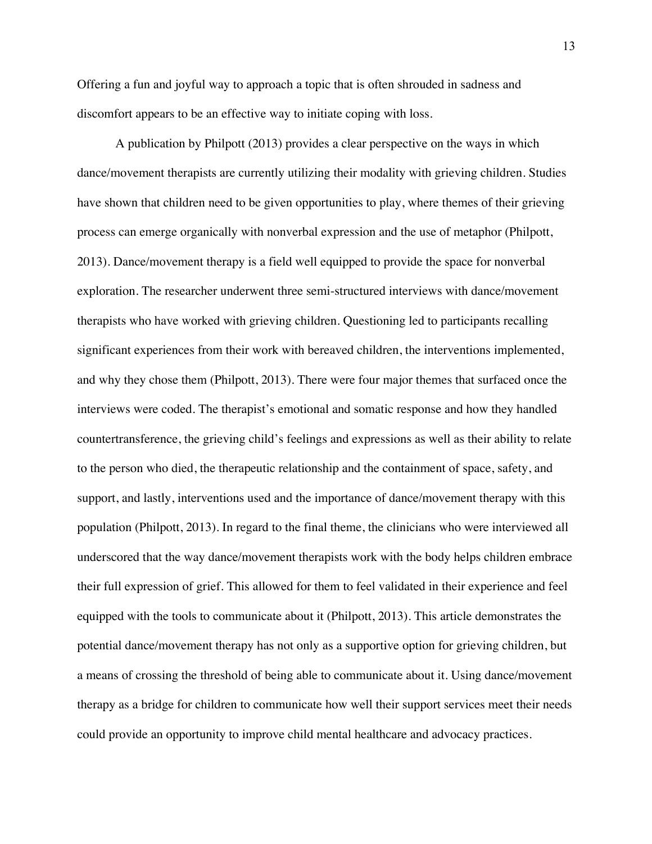Offering a fun and joyful way to approach a topic that is often shrouded in sadness and discomfort appears to be an effective way to initiate coping with loss.

A publication by Philpott (2013) provides a clear perspective on the ways in which dance/movement therapists are currently utilizing their modality with grieving children. Studies have shown that children need to be given opportunities to play, where themes of their grieving process can emerge organically with nonverbal expression and the use of metaphor (Philpott, 2013). Dance/movement therapy is a field well equipped to provide the space for nonverbal exploration. The researcher underwent three semi-structured interviews with dance/movement therapists who have worked with grieving children. Questioning led to participants recalling significant experiences from their work with bereaved children, the interventions implemented, and why they chose them (Philpott, 2013). There were four major themes that surfaced once the interviews were coded. The therapist's emotional and somatic response and how they handled countertransference, the grieving child's feelings and expressions as well as their ability to relate to the person who died, the therapeutic relationship and the containment of space, safety, and support, and lastly, interventions used and the importance of dance/movement therapy with this population (Philpott, 2013). In regard to the final theme, the clinicians who were interviewed all underscored that the way dance/movement therapists work with the body helps children embrace their full expression of grief. This allowed for them to feel validated in their experience and feel equipped with the tools to communicate about it (Philpott, 2013). This article demonstrates the potential dance/movement therapy has not only as a supportive option for grieving children, but a means of crossing the threshold of being able to communicate about it. Using dance/movement therapy as a bridge for children to communicate how well their support services meet their needs could provide an opportunity to improve child mental healthcare and advocacy practices.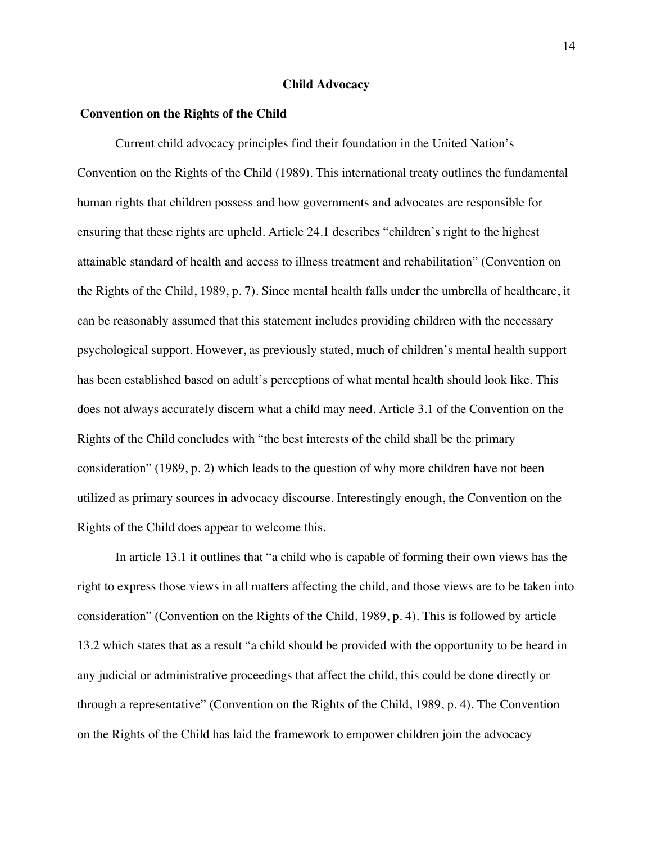#### **Child Advocacy**

# **Convention on the Rights of the Child**

Current child advocacy principles find their foundation in the United Nation's Convention on the Rights of the Child (1989). This international treaty outlines the fundamental human rights that children possess and how governments and advocates are responsible for ensuring that these rights are upheld. Article 24.1 describes "children's right to the highest attainable standard of health and access to illness treatment and rehabilitation" (Convention on the Rights of the Child, 1989, p. 7). Since mental health falls under the umbrella of healthcare, it can be reasonably assumed that this statement includes providing children with the necessary psychological support. However, as previously stated, much of children's mental health support has been established based on adult's perceptions of what mental health should look like. This does not always accurately discern what a child may need. Article 3.1 of the Convention on the Rights of the Child concludes with "the best interests of the child shall be the primary consideration" (1989, p. 2) which leads to the question of why more children have not been utilized as primary sources in advocacy discourse. Interestingly enough, the Convention on the Rights of the Child does appear to welcome this.

In article 13.1 it outlines that "a child who is capable of forming their own views has the right to express those views in all matters affecting the child, and those views are to be taken into consideration" (Convention on the Rights of the Child, 1989, p. 4). This is followed by article 13.2 which states that as a result "a child should be provided with the opportunity to be heard in any judicial or administrative proceedings that affect the child, this could be done directly or through a representative" (Convention on the Rights of the Child, 1989, p. 4). The Convention on the Rights of the Child has laid the framework to empower children join the advocacy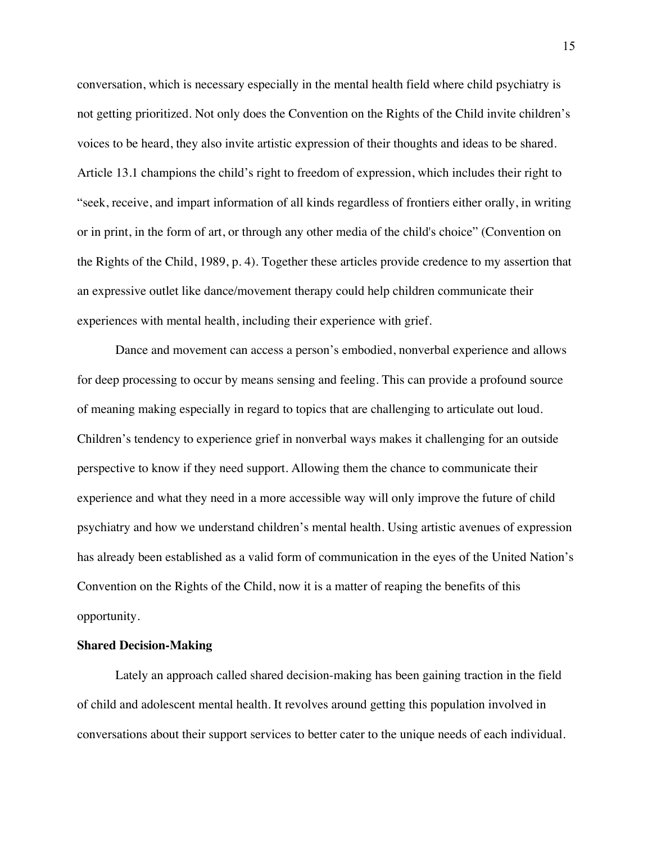conversation, which is necessary especially in the mental health field where child psychiatry is not getting prioritized. Not only does the Convention on the Rights of the Child invite children's voices to be heard, they also invite artistic expression of their thoughts and ideas to be shared. Article 13.1 champions the child's right to freedom of expression, which includes their right to "seek, receive, and impart information of all kinds regardless of frontiers either orally, in writing or in print, in the form of art, or through any other media of the child's choice" (Convention on the Rights of the Child, 1989, p. 4). Together these articles provide credence to my assertion that an expressive outlet like dance/movement therapy could help children communicate their experiences with mental health, including their experience with grief.

Dance and movement can access a person's embodied, nonverbal experience and allows for deep processing to occur by means sensing and feeling. This can provide a profound source of meaning making especially in regard to topics that are challenging to articulate out loud. Children's tendency to experience grief in nonverbal ways makes it challenging for an outside perspective to know if they need support. Allowing them the chance to communicate their experience and what they need in a more accessible way will only improve the future of child psychiatry and how we understand children's mental health. Using artistic avenues of expression has already been established as a valid form of communication in the eyes of the United Nation's Convention on the Rights of the Child, now it is a matter of reaping the benefits of this opportunity.

# **Shared Decision-Making**

Lately an approach called shared decision-making has been gaining traction in the field of child and adolescent mental health. It revolves around getting this population involved in conversations about their support services to better cater to the unique needs of each individual.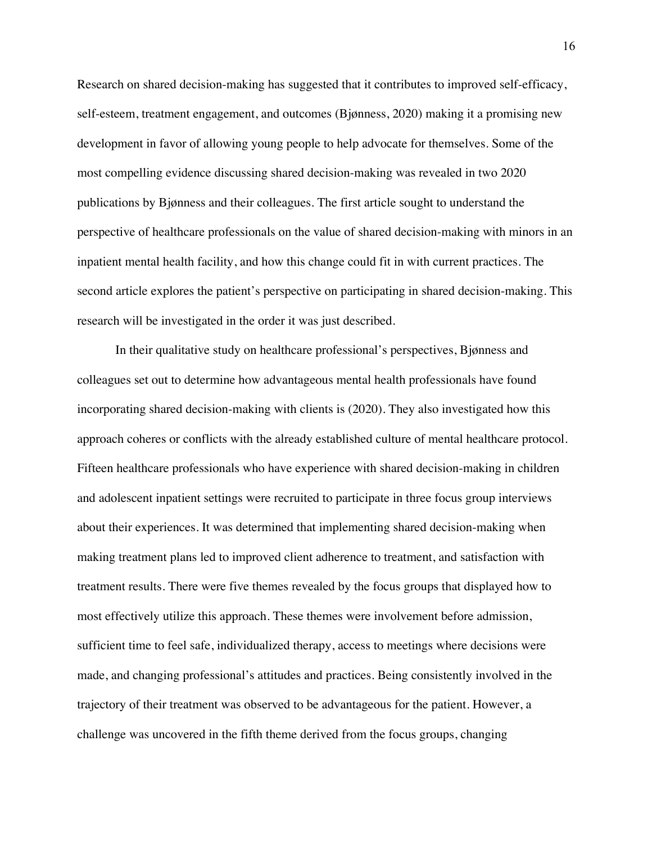Research on shared decision-making has suggested that it contributes to improved self-efficacy, self-esteem, treatment engagement, and outcomes (Bjønness, 2020) making it a promising new development in favor of allowing young people to help advocate for themselves. Some of the most compelling evidence discussing shared decision-making was revealed in two 2020 publications by Bjønness and their colleagues. The first article sought to understand the perspective of healthcare professionals on the value of shared decision-making with minors in an inpatient mental health facility, and how this change could fit in with current practices. The second article explores the patient's perspective on participating in shared decision-making. This research will be investigated in the order it was just described.

In their qualitative study on healthcare professional's perspectives, Bjønness and colleagues set out to determine how advantageous mental health professionals have found incorporating shared decision-making with clients is (2020). They also investigated how this approach coheres or conflicts with the already established culture of mental healthcare protocol. Fifteen healthcare professionals who have experience with shared decision-making in children and adolescent inpatient settings were recruited to participate in three focus group interviews about their experiences. It was determined that implementing shared decision-making when making treatment plans led to improved client adherence to treatment, and satisfaction with treatment results. There were five themes revealed by the focus groups that displayed how to most effectively utilize this approach. These themes were involvement before admission, sufficient time to feel safe, individualized therapy, access to meetings where decisions were made, and changing professional's attitudes and practices. Being consistently involved in the trajectory of their treatment was observed to be advantageous for the patient. However, a challenge was uncovered in the fifth theme derived from the focus groups, changing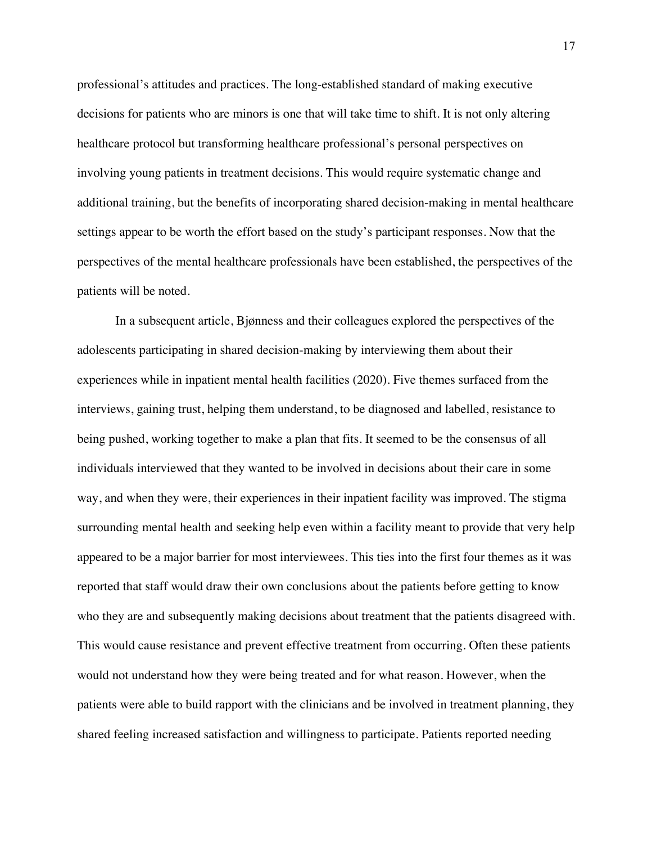professional's attitudes and practices. The long-established standard of making executive decisions for patients who are minors is one that will take time to shift. It is not only altering healthcare protocol but transforming healthcare professional's personal perspectives on involving young patients in treatment decisions. This would require systematic change and additional training, but the benefits of incorporating shared decision-making in mental healthcare settings appear to be worth the effort based on the study's participant responses. Now that the perspectives of the mental healthcare professionals have been established, the perspectives of the patients will be noted.

In a subsequent article, Bjønness and their colleagues explored the perspectives of the adolescents participating in shared decision-making by interviewing them about their experiences while in inpatient mental health facilities (2020). Five themes surfaced from the interviews, gaining trust, helping them understand, to be diagnosed and labelled, resistance to being pushed, working together to make a plan that fits. It seemed to be the consensus of all individuals interviewed that they wanted to be involved in decisions about their care in some way, and when they were, their experiences in their inpatient facility was improved. The stigma surrounding mental health and seeking help even within a facility meant to provide that very help appeared to be a major barrier for most interviewees. This ties into the first four themes as it was reported that staff would draw their own conclusions about the patients before getting to know who they are and subsequently making decisions about treatment that the patients disagreed with. This would cause resistance and prevent effective treatment from occurring. Often these patients would not understand how they were being treated and for what reason. However, when the patients were able to build rapport with the clinicians and be involved in treatment planning, they shared feeling increased satisfaction and willingness to participate. Patients reported needing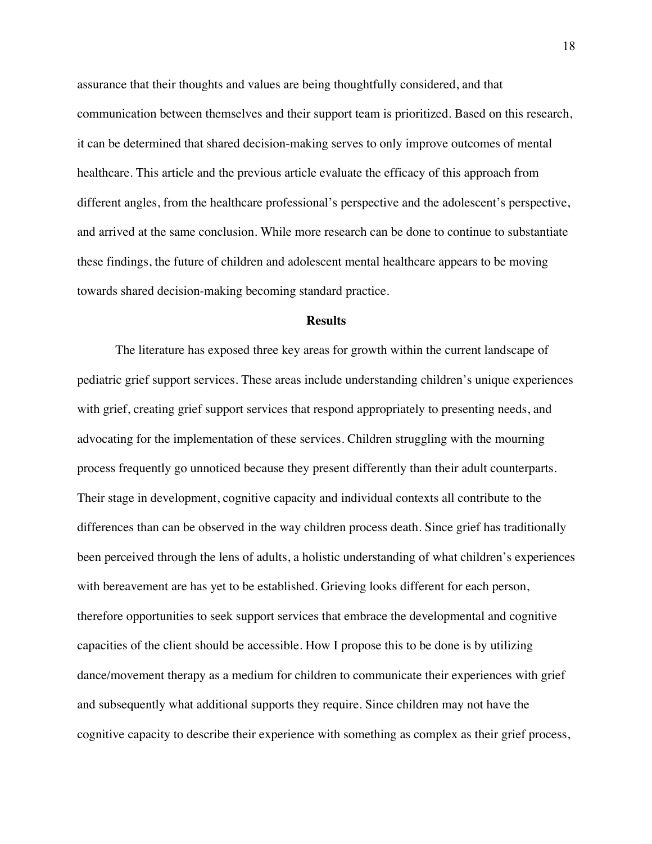assurance that their thoughts and values are being thoughtfully considered, and that communication between themselves and their support team is prioritized. Based on this research, it can be determined that shared decision-making serves to only improve outcomes of mental healthcare. This article and the previous article evaluate the efficacy of this approach from different angles, from the healthcare professional's perspective and the adolescent's perspective, and arrived at the same conclusion. While more research can be done to continue to substantiate these findings, the future of children and adolescent mental healthcare appears to be moving towards shared decision-making becoming standard practice.

#### **Results**

The literature has exposed three key areas for growth within the current landscape of pediatric grief support services. These areas include understanding children's unique experiences with grief, creating grief support services that respond appropriately to presenting needs, and advocating for the implementation of these services. Children struggling with the mourning process frequently go unnoticed because they present differently than their adult counterparts. Their stage in development, cognitive capacity and individual contexts all contribute to the differences than can be observed in the way children process death. Since grief has traditionally been perceived through the lens of adults, a holistic understanding of what children's experiences with bereavement are has yet to be established. Grieving looks different for each person, therefore opportunities to seek support services that embrace the developmental and cognitive capacities of the client should be accessible. How I propose this to be done is by utilizing dance/movement therapy as a medium for children to communicate their experiences with grief and subsequently what additional supports they require. Since children may not have the cognitive capacity to describe their experience with something as complex as their grief process,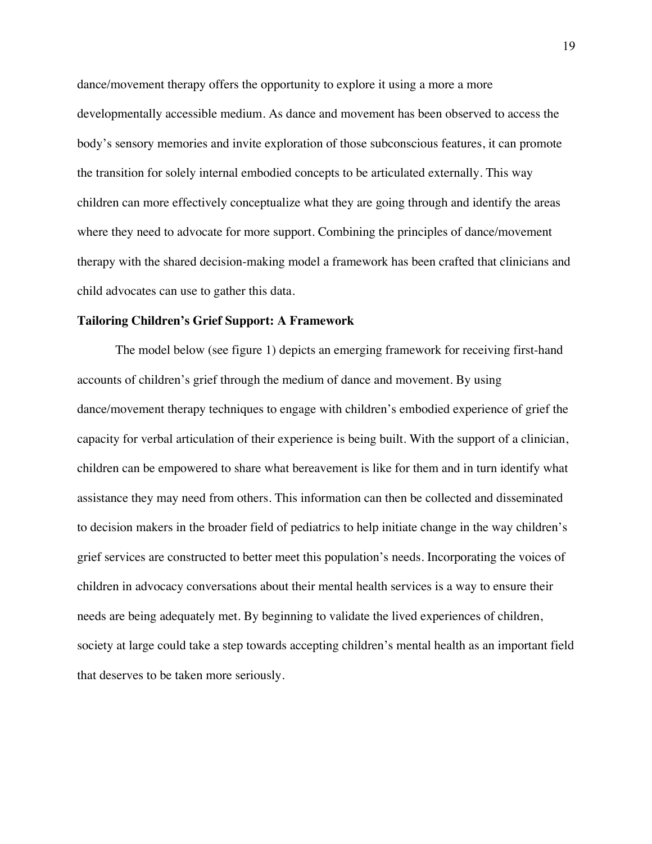dance/movement therapy offers the opportunity to explore it using a more a more developmentally accessible medium. As dance and movement has been observed to access the body's sensory memories and invite exploration of those subconscious features, it can promote the transition for solely internal embodied concepts to be articulated externally. This way children can more effectively conceptualize what they are going through and identify the areas where they need to advocate for more support. Combining the principles of dance/movement therapy with the shared decision-making model a framework has been crafted that clinicians and child advocates can use to gather this data.

#### **Tailoring Children's Grief Support: A Framework**

The model below (see figure 1) depicts an emerging framework for receiving first-hand accounts of children's grief through the medium of dance and movement. By using dance/movement therapy techniques to engage with children's embodied experience of grief the capacity for verbal articulation of their experience is being built. With the support of a clinician, children can be empowered to share what bereavement is like for them and in turn identify what assistance they may need from others. This information can then be collected and disseminated to decision makers in the broader field of pediatrics to help initiate change in the way children's grief services are constructed to better meet this population's needs. Incorporating the voices of children in advocacy conversations about their mental health services is a way to ensure their needs are being adequately met. By beginning to validate the lived experiences of children, society at large could take a step towards accepting children's mental health as an important field that deserves to be taken more seriously.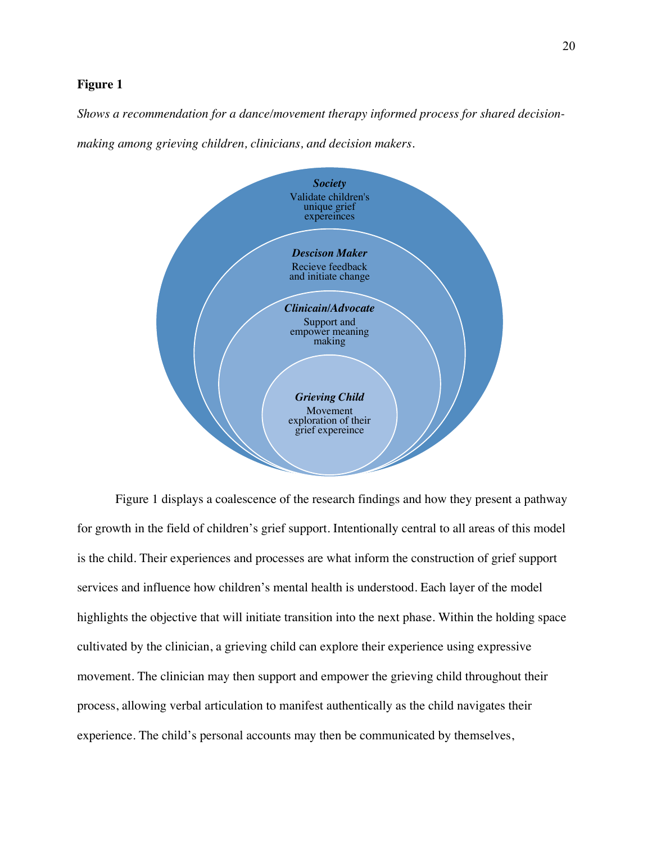# **Figure 1**

*Shows a recommendation for a dance/movement therapy informed process for shared decision-*

*making among grieving children, clinicians, and decision makers.*



Figure 1 displays a coalescence of the research findings and how they present a pathway for growth in the field of children's grief support. Intentionally central to all areas of this model is the child. Their experiences and processes are what inform the construction of grief support services and influence how children's mental health is understood. Each layer of the model highlights the objective that will initiate transition into the next phase. Within the holding space cultivated by the clinician, a grieving child can explore their experience using expressive movement. The clinician may then support and empower the grieving child throughout their process, allowing verbal articulation to manifest authentically as the child navigates their experience. The child's personal accounts may then be communicated by themselves,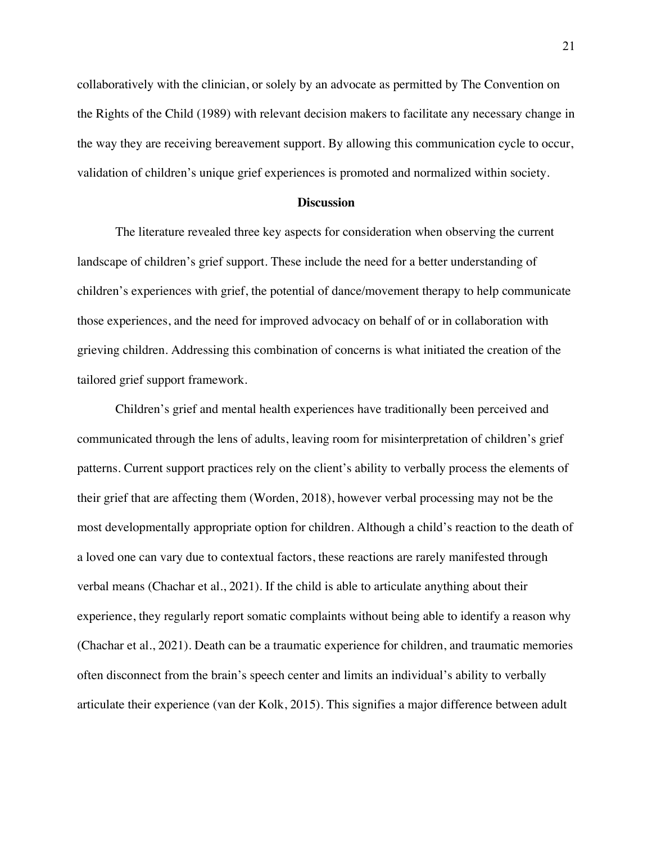collaboratively with the clinician, or solely by an advocate as permitted by The Convention on the Rights of the Child (1989) with relevant decision makers to facilitate any necessary change in the way they are receiving bereavement support. By allowing this communication cycle to occur, validation of children's unique grief experiences is promoted and normalized within society.

#### **Discussion**

The literature revealed three key aspects for consideration when observing the current landscape of children's grief support. These include the need for a better understanding of children's experiences with grief, the potential of dance/movement therapy to help communicate those experiences, and the need for improved advocacy on behalf of or in collaboration with grieving children. Addressing this combination of concerns is what initiated the creation of the tailored grief support framework.

Children's grief and mental health experiences have traditionally been perceived and communicated through the lens of adults, leaving room for misinterpretation of children's grief patterns. Current support practices rely on the client's ability to verbally process the elements of their grief that are affecting them (Worden, 2018), however verbal processing may not be the most developmentally appropriate option for children. Although a child's reaction to the death of a loved one can vary due to contextual factors, these reactions are rarely manifested through verbal means (Chachar et al., 2021). If the child is able to articulate anything about their experience, they regularly report somatic complaints without being able to identify a reason why (Chachar et al., 2021). Death can be a traumatic experience for children, and traumatic memories often disconnect from the brain's speech center and limits an individual's ability to verbally articulate their experience (van der Kolk, 2015). This signifies a major difference between adult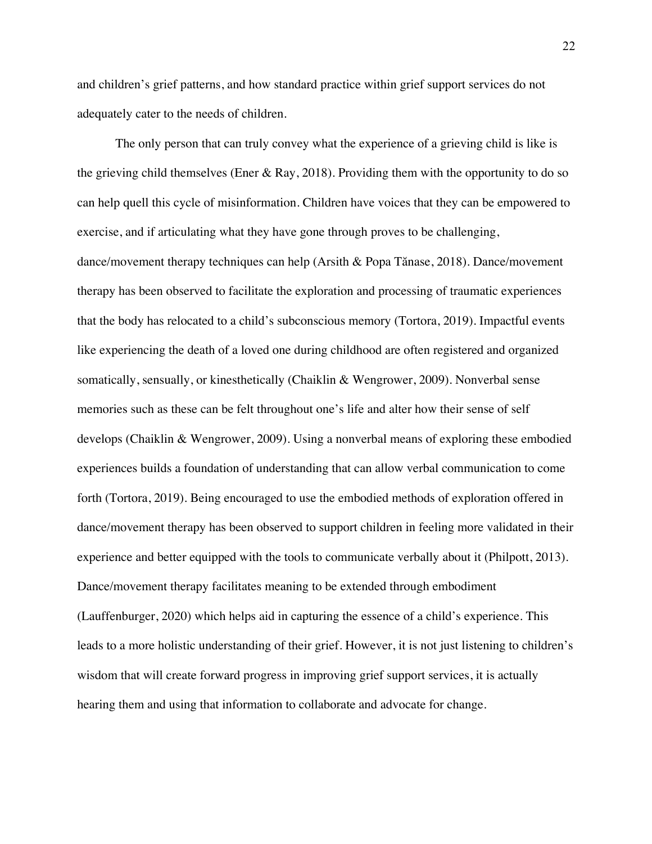and children's grief patterns, and how standard practice within grief support services do not adequately cater to the needs of children.

The only person that can truly convey what the experience of a grieving child is like is the grieving child themselves (Ener & Ray, 2018). Providing them with the opportunity to do so can help quell this cycle of misinformation. Children have voices that they can be empowered to exercise, and if articulating what they have gone through proves to be challenging, dance/movement therapy techniques can help (Arsith & Popa Tănase, 2018). Dance/movement therapy has been observed to facilitate the exploration and processing of traumatic experiences that the body has relocated to a child's subconscious memory (Tortora, 2019). Impactful events like experiencing the death of a loved one during childhood are often registered and organized somatically, sensually, or kinesthetically (Chaiklin & Wengrower, 2009). Nonverbal sense memories such as these can be felt throughout one's life and alter how their sense of self develops (Chaiklin & Wengrower, 2009). Using a nonverbal means of exploring these embodied experiences builds a foundation of understanding that can allow verbal communication to come forth (Tortora, 2019). Being encouraged to use the embodied methods of exploration offered in dance/movement therapy has been observed to support children in feeling more validated in their experience and better equipped with the tools to communicate verbally about it (Philpott, 2013). Dance/movement therapy facilitates meaning to be extended through embodiment (Lauffenburger, 2020) which helps aid in capturing the essence of a child's experience. This leads to a more holistic understanding of their grief. However, it is not just listening to children's wisdom that will create forward progress in improving grief support services, it is actually hearing them and using that information to collaborate and advocate for change.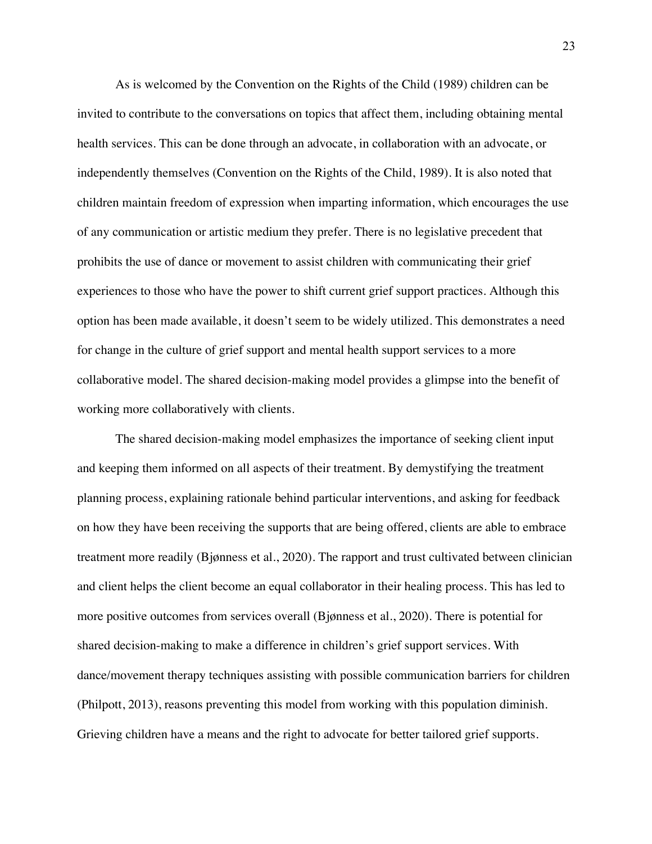As is welcomed by the Convention on the Rights of the Child (1989) children can be invited to contribute to the conversations on topics that affect them, including obtaining mental health services. This can be done through an advocate, in collaboration with an advocate, or independently themselves (Convention on the Rights of the Child, 1989). It is also noted that children maintain freedom of expression when imparting information, which encourages the use of any communication or artistic medium they prefer. There is no legislative precedent that prohibits the use of dance or movement to assist children with communicating their grief experiences to those who have the power to shift current grief support practices. Although this option has been made available, it doesn't seem to be widely utilized. This demonstrates a need for change in the culture of grief support and mental health support services to a more collaborative model. The shared decision-making model provides a glimpse into the benefit of working more collaboratively with clients.

The shared decision-making model emphasizes the importance of seeking client input and keeping them informed on all aspects of their treatment. By demystifying the treatment planning process, explaining rationale behind particular interventions, and asking for feedback on how they have been receiving the supports that are being offered, clients are able to embrace treatment more readily (Bjønness et al., 2020). The rapport and trust cultivated between clinician and client helps the client become an equal collaborator in their healing process. This has led to more positive outcomes from services overall (Bjønness et al., 2020). There is potential for shared decision-making to make a difference in children's grief support services. With dance/movement therapy techniques assisting with possible communication barriers for children (Philpott, 2013), reasons preventing this model from working with this population diminish. Grieving children have a means and the right to advocate for better tailored grief supports.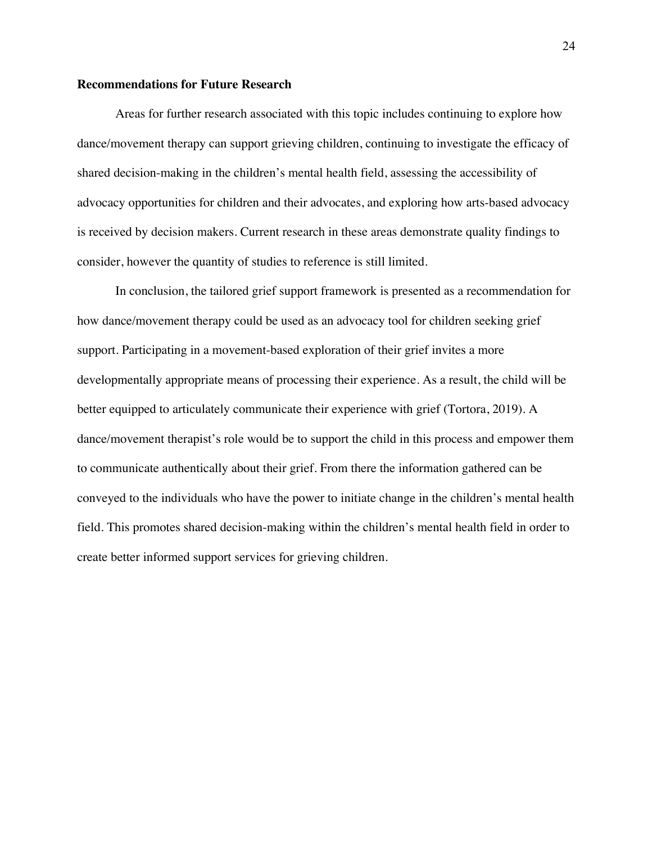## **Recommendations for Future Research**

Areas for further research associated with this topic includes continuing to explore how dance/movement therapy can support grieving children, continuing to investigate the efficacy of shared decision-making in the children's mental health field, assessing the accessibility of advocacy opportunities for children and their advocates, and exploring how arts-based advocacy is received by decision makers. Current research in these areas demonstrate quality findings to consider, however the quantity of studies to reference is still limited.

In conclusion, the tailored grief support framework is presented as a recommendation for how dance/movement therapy could be used as an advocacy tool for children seeking grief support. Participating in a movement-based exploration of their grief invites a more developmentally appropriate means of processing their experience. As a result, the child will be better equipped to articulately communicate their experience with grief (Tortora, 2019). A dance/movement therapist's role would be to support the child in this process and empower them to communicate authentically about their grief. From there the information gathered can be conveyed to the individuals who have the power to initiate change in the children's mental health field. This promotes shared decision-making within the children's mental health field in order to create better informed support services for grieving children.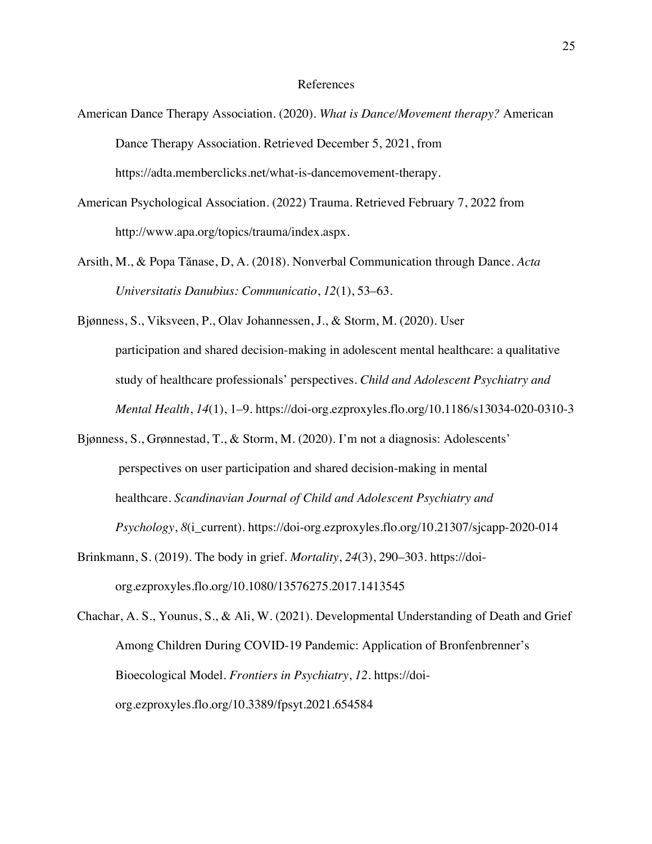#### References

- American Dance Therapy Association. (2020). *What is Dance/Movement therapy?* American Dance Therapy Association. Retrieved December 5, 2021, from https://adta.memberclicks.net/what-is-dancemovement-therapy.
- American Psychological Association. (2022) Trauma. Retrieved February 7, 2022 from http://www.apa.org/topics/trauma/index.aspx.
- Arsith, M., & Popa Tănase, D, A. (2018). Nonverbal Communication through Dance. *Acta Universitatis Danubius: Communicatio*, *12*(1), 53–63.
- Bjønness, S., Viksveen, P., Olav Johannessen, J., & Storm, M. (2020). User participation and shared decision-making in adolescent mental healthcare: a qualitative study of healthcare professionals' perspectives. *Child and Adolescent Psychiatry and Mental Health*, *14*(1), 1–9. https://doi-org.ezproxyles.flo.org/10.1186/s13034-020-0310-3
- Bjønness, S., Grønnestad, T., & Storm, M. (2020). I'm not a diagnosis: Adolescents' perspectives on user participation and shared decision-making in mental healthcare. *Scandinavian Journal of Child and Adolescent Psychiatry and Psychology*, *8*(i\_current). https://doi-org.ezproxyles.flo.org/10.21307/sjcapp-2020-014
- Brinkmann, S. (2019). The body in grief. *Mortality*, *24*(3), 290–303. https://doiorg.ezproxyles.flo.org/10.1080/13576275.2017.1413545
- Chachar, A. S., Younus, S., & Ali, W. (2021). Developmental Understanding of Death and Grief Among Children During COVID-19 Pandemic: Application of Bronfenbrenner's Bioecological Model. *Frontiers in Psychiatry*, *12*. https://doiorg.ezproxyles.flo.org/10.3389/fpsyt.2021.654584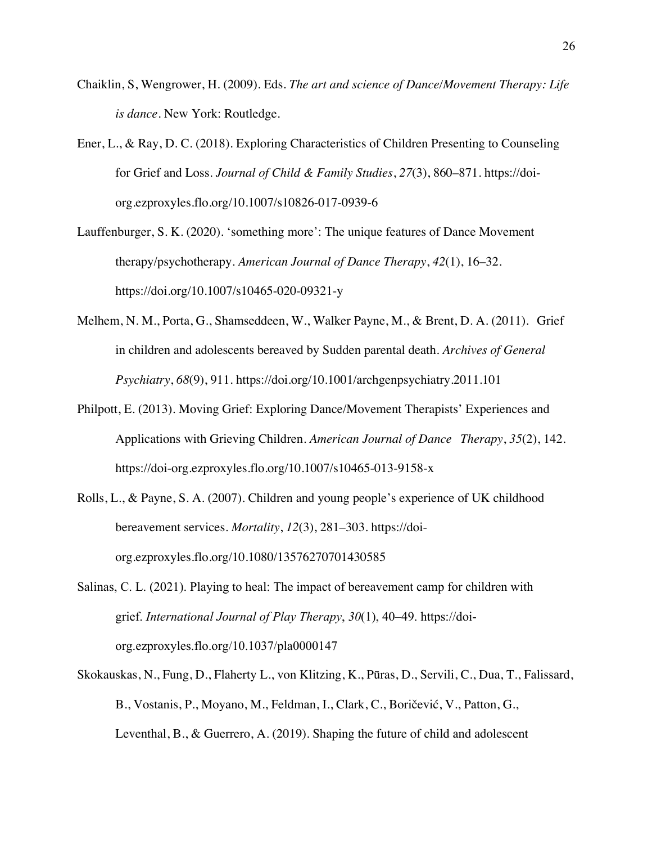- Chaiklin, S, Wengrower, H. (2009). Eds. *The art and science of Dance/Movement Therapy: Life is dance.* New York: Routledge.
- Ener, L., & Ray, D. C. (2018). Exploring Characteristics of Children Presenting to Counseling for Grief and Loss. *Journal of Child & Family Studies*, *27*(3), 860–871. https://doiorg.ezproxyles.flo.org/10.1007/s10826-017-0939-6

Lauffenburger, S. K. (2020). 'something more': The unique features of Dance Movement therapy/psychotherapy. *American Journal of Dance Therapy*, *42*(1), 16–32. https://doi.org/10.1007/s10465-020-09321-y

- Melhem, N. M., Porta, G., Shamseddeen, W., Walker Payne, M., & Brent, D. A. (2011). Grief in children and adolescents bereaved by Sudden parental death. *Archives of General Psychiatry*, *68*(9), 911. https://doi.org/10.1001/archgenpsychiatry.2011.101
- Philpott, E. (2013). Moving Grief: Exploring Dance/Movement Therapists' Experiences and Applications with Grieving Children. *American Journal of Dance Therapy*, *35*(2), 142. https://doi-org.ezproxyles.flo.org/10.1007/s10465-013-9158-x
- Rolls, L., & Payne, S. A. (2007). Children and young people's experience of UK childhood bereavement services. *Mortality*, *12*(3), 281–303. https://doiorg.ezproxyles.flo.org/10.1080/13576270701430585
- Salinas, C. L. (2021). Playing to heal: The impact of bereavement camp for children with grief. *International Journal of Play Therapy*, *30*(1), 40–49. https://doiorg.ezproxyles.flo.org/10.1037/pla0000147
- Skokauskas, N., Fung, D., Flaherty L., von Klitzing, K., Pūras, D., Servili, C., Dua, T., Falissard, B., Vostanis, P., Moyano, M., Feldman, I., Clark, C., Boričević, V., Patton, G., Leventhal, B., & Guerrero, A. (2019). Shaping the future of child and adolescent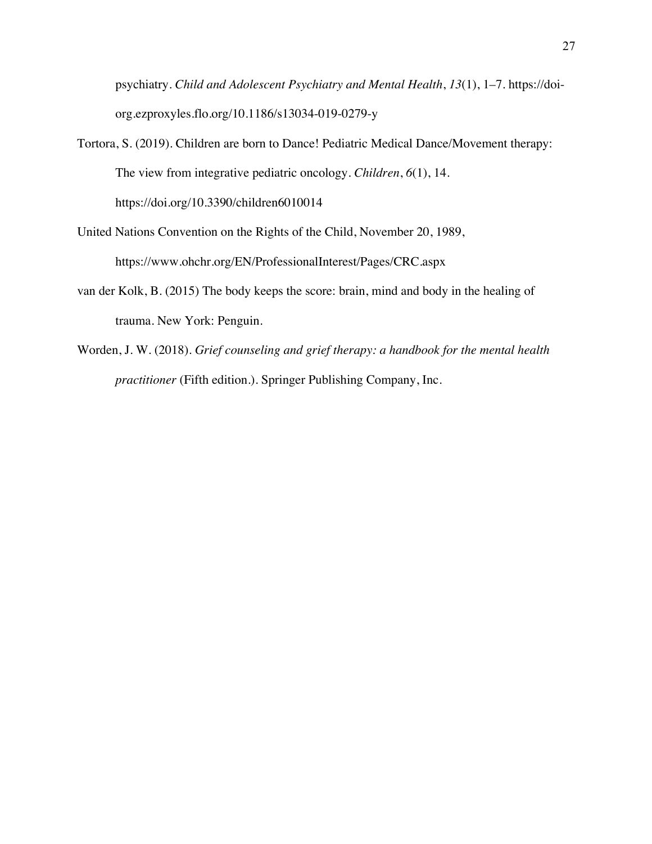psychiatry. *Child and Adolescent Psychiatry and Mental Health*, *13*(1), 1–7. https://doiorg.ezproxyles.flo.org/10.1186/s13034-019-0279-y

- Tortora, S. (2019). Children are born to Dance! Pediatric Medical Dance/Movement therapy: The view from integrative pediatric oncology. *Children*, *6*(1), 14. https://doi.org/10.3390/children6010014
- United Nations Convention on the Rights of the Child, November 20, 1989, https://www.ohchr.org/EN/ProfessionalInterest/Pages/CRC.aspx
- van der Kolk, B. (2015) The body keeps the score: brain, mind and body in the healing of trauma. New York: Penguin.
- Worden, J. W. (2018). *Grief counseling and grief therapy: a handbook for the mental health practitioner* (Fifth edition.). Springer Publishing Company, Inc.